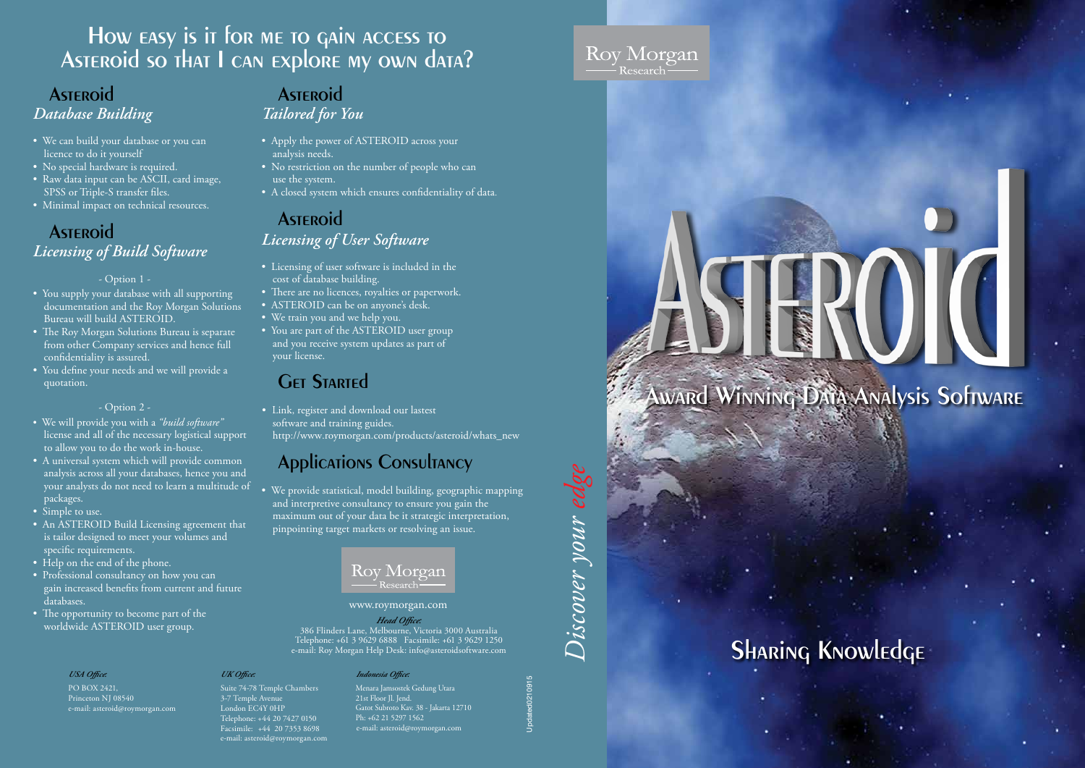# Sharing Knowledge

# Award Winning Data Analysis Software

*Discover your edge* iscover your ed



# Asteroid *Licensing of Build Software*

- Option 1 -

- You supply your database with all supporting documentation and the Roy Morgan Solutions Bureau will build ASTEROID.
- The Roy Morgan Solutions Bureau is separate from other Company services and hence full confidentiality is assured.
- You define your needs and we will provide a quotation.

#### - Option 2 -

# How easy is it for me to gain access to ASTEROID SO THAT I CAN EXPLORE MY OWN DATA?

## **ASTEROID** *Database Building*

## **ASTEROID** *Licensing of User Software*

- We will provide you with a *"build software"* license and all of the necessary logistical support to allow you to do the work in-house.
- A universal system which will provide common analysis across all your databases, hence you and your analysts do not need to learn a multitude of packages.
- Simple to use.
- An ASTEROID Build Licensing agreement that is tailor designed to meet your volumes and specific requirements.
- Help on the end of the phone.
- Professional consultancy on how you can gain increased benefits from current and future databases.
- The opportunity to become part of the worldwide ASTEROID user group.

### *Tailored for You*

- Apply the power of ASTEROID across your analysis needs.
- No restriction on the number of people who can use the system.
- A closed system which ensures confidentiality of data.
- We can build your database or you can licence to do it yourself
- No special hardware is required.
- Raw data input can be ASCII, card image, SPSS or Triple-S transfer files.
- Minimal impact on technical resources.

- Licensing of user software is included in the cost of database building.
- There are no licences, royalties or paperwork.
- ASTEROID can be on anyone's desk.
- We train you and we help you.
- You are part of the ASTEROID user group and you receive system updates as part of your license.

# **GET STARTED**

• Link, register and download our lastest software and training guides. http://www.roymorgan.com/products/asteroid/whats\_new

# **Applications Consultancy**

• We provide statistical, model building, geographic mapping and interpretive consultancy to ensure you gain the maximum out of your data be it strategic interpretation, pinpointing target markets or resolving an issue.

# Rov Morgan

#### *UK Office:*

Suite 74-78 Temple Chambers 3-7 Temple Avenue London EC4Y 0HP Telephone: +44 20 7427 0150 Facsimile: +44 20 7353 8698 e-mail: asteroid@roymorgan.com

#### *Head Office:*

386 Flinders Lane, Melbourne, Victoria 3000 Australia Telephone: +61 3 9629 6888 Facsimile: +61 3 9629 1250 e-mail: Roy Morgan Help Desk: info@asteroidsoftware.com

#### www.roymorgan.com

#### *USA Office:*

PO BOX 2421, Princeton NJ 08540 e-mail: asteroid@roymorgan.com

# **ASTEROID**

Updated0210915

## Roy Morgan - Research –

#### *Indonesia Office:*

Menara Jamsostek Gedung Utara 21st Floor Jl. Jend. Gatot Subroto Kav. 38 - Jakarta 12710 Ph: +62 21 5297 1562 e-mail: asteroid@roymorgan.com